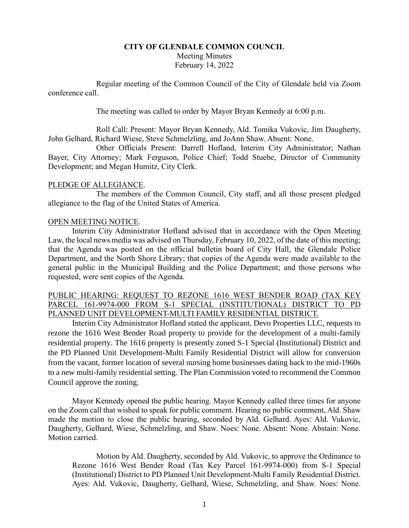# **CITY OF GLENDALE COMMON COUNCIL** Meeting Minutes February 14, 2022

Regular meeting of the Common Council of the City of Glendale held via Zoom conference call.

The meeting was called to order by Mayor Bryan Kennedy at 6:00 p.m.

Roll Call: Present: Mayor Bryan Kennedy, Ald. Tomika Vukovic, Jim Daugherty, John Gelhard, Richard Wiese, Steve Schmelzling, and JoAnn Shaw. Absent: None.

Other Officials Present: Darrell Hofland, Interim City Administrator; Nathan Bayer, City Attorney; Mark Ferguson, Police Chief; Todd Stuebe, Director of Community Development; and Megan Humitz, City Clerk.

# PLEDGE OF ALLEGIANCE.

The members of the Common Council, City staff, and all those present pledged allegiance to the flag of the United States of America.

### OPEN MEETING NOTICE.

Interim City Administrator Hofland advised that in accordance with the Open Meeting Law, the local news media was advised on Thursday, February 10, 2022, of the date of this meeting; that the Agenda was posted on the official bulletin board of City Hall, the Glendale Police Department, and the North Shore Library; that copies of the Agenda were made available to the general public in the Municipal Building and the Police Department; and those persons who requested, were sent copies of the Agenda.

# PUBLIC HEARING: REQUEST TO REZONE 1616 WEST BENDER ROAD (TAX KEY PARCEL 161-9974-000 FROM S-1 SPECIAL (INSTITUTIONAL) DISTRICT TO PD PLANNED UNIT DEVELOPMENT-MULTI FAMILY RESIDENTIAL DISTRICT.

Interim City Administrator Hofland stated the applicant, Devo Properties LLC, requests to rezone the 1616 West Bender Road property to provide for the development of a multi-family residential property. The 1616 property is presently zoned S-1 Special (Institutional) District and the PD Planned Unit Development-Multi Family Residential District will allow for conversion from the vacant, former location of several nursing home businesses dating back to the mid-1960s to a new multi-family residential setting. The Plan Commission voted to recommend the Common Council approve the zoning.

Mayor Kennedy opened the public hearing. Mayor Kennedy called three times for anyone on the Zoom call that wished to speak for public comment. Hearing no public comment, Ald. Shaw made the motion to close the public hearing, seconded by Ald. Gelhard. Ayes: Ald. Vukovic, Daugherty, Gelhard, Wiese, Schmelzling, and Shaw. Noes: None. Absent: None. Abstain: None. Motion carried.

Motion by Ald. Daugherty, seconded by Ald. Vukovic, to approve the Ordinance to Rezone 1616 West Bender Road (Tax Key Parcel 161-9974-000) from S-1 Special (Institutional) District to PD Planned Unit Development-Multi Family Residential District. Ayes: Ald. Vukovic, Daugherty, Gelhard, Wiese, Schmelzling, and Shaw. Noes: None.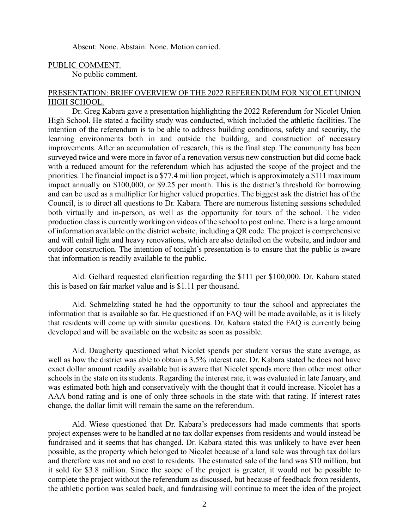Absent: None. Abstain: None. Motion carried.

#### PUBLIC COMMENT.

No public comment.

### PRESENTATION: BRIEF OVERVIEW OF THE 2022 REFERENDUM FOR NICOLET UNION HIGH SCHOOL.

Dr. Greg Kabara gave a presentation highlighting the 2022 Referendum for Nicolet Union High School. He stated a facility study was conducted, which included the athletic facilities. The intention of the referendum is to be able to address building conditions, safety and security, the learning environments both in and outside the building, and construction of necessary improvements. After an accumulation of research, this is the final step. The community has been surveyed twice and were more in favor of a renovation versus new construction but did come back with a reduced amount for the referendum which has adjusted the scope of the project and the priorities. The financial impact is a \$77.4 million project, which is approximately a \$111 maximum impact annually on \$100,000, or \$9.25 per month. This is the district's threshold for borrowing and can be used as a multiplier for higher valued properties. The biggest ask the district has of the Council, is to direct all questions to Dr. Kabara. There are numerous listening sessions scheduled both virtually and in-person, as well as the opportunity for tours of the school. The video production class is currently working on videos of the school to post online. There is a large amount of information available on the district website, including a QR code. The project is comprehensive and will entail light and heavy renovations, which are also detailed on the website, and indoor and outdoor construction. The intention of tonight's presentation is to ensure that the public is aware that information is readily available to the public.

Ald. Gelhard requested clarification regarding the \$111 per \$100,000. Dr. Kabara stated this is based on fair market value and is \$1.11 per thousand.

Ald. Schmelzling stated he had the opportunity to tour the school and appreciates the information that is available so far. He questioned if an FAQ will be made available, as it is likely that residents will come up with similar questions. Dr. Kabara stated the FAQ is currently being developed and will be available on the website as soon as possible.

Ald. Daugherty questioned what Nicolet spends per student versus the state average, as well as how the district was able to obtain a 3.5% interest rate. Dr. Kabara stated he does not have exact dollar amount readily available but is aware that Nicolet spends more than other most other schools in the state on its students. Regarding the interest rate, it was evaluated in late January, and was estimated both high and conservatively with the thought that it could increase. Nicolet has a AAA bond rating and is one of only three schools in the state with that rating. If interest rates change, the dollar limit will remain the same on the referendum.

Ald. Wiese questioned that Dr. Kabara's predecessors had made comments that sports project expenses were to be handled at no tax dollar expenses from residents and would instead be fundraised and it seems that has changed. Dr. Kabara stated this was unlikely to have ever been possible, as the property which belonged to Nicolet because of a land sale was through tax dollars and therefore was not and no cost to residents. The estimated sale of the land was \$10 million, but it sold for \$3.8 million. Since the scope of the project is greater, it would not be possible to complete the project without the referendum as discussed, but because of feedback from residents, the athletic portion was scaled back, and fundraising will continue to meet the idea of the project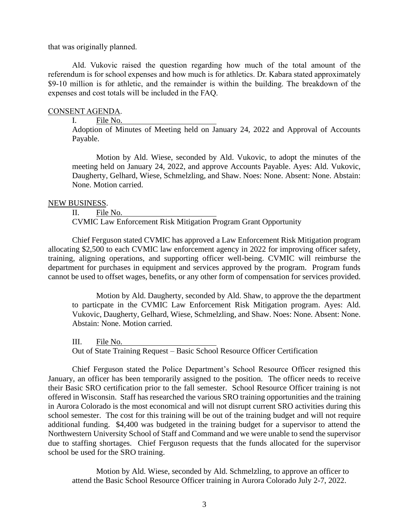that was originally planned.

Ald. Vukovic raised the question regarding how much of the total amount of the referendum is for school expenses and how much is for athletics. Dr. Kabara stated approximately \$9-10 million is for athletic, and the remainder is within the building. The breakdown of the expenses and cost totals will be included in the FAQ.

### CONSENT AGENDA.

I. File No.

Adoption of Minutes of Meeting held on January 24, 2022 and Approval of Accounts Payable.

Motion by Ald. Wiese, seconded by Ald. Vukovic, to adopt the minutes of the meeting held on January 24, 2022, and approve Accounts Payable. Ayes: Ald. Vukovic, Daugherty, Gelhard, Wiese, Schmelzling, and Shaw. Noes: None. Absent: None. Abstain: None. Motion carried.

#### NEW BUSINESS.

II. File No. CVMIC Law Enforcement Risk Mitigation Program Grant Opportunity

Chief Ferguson stated CVMIC has approved a Law Enforcement Risk Mitigation program allocating \$2,500 to each CVMIC law enforcement agency in 2022 for improving officer safety, training, aligning operations, and supporting officer well-being. CVMIC will reimburse the department for purchases in equipment and services approved by the program. Program funds cannot be used to offset wages, benefits, or any other form of compensation for services provided.

Motion by Ald. Daugherty, seconded by Ald. Shaw, to approve the the department to particpate in the CVMIC Law Enforcement Risk Mitigation program. Ayes: Ald. Vukovic, Daugherty, Gelhard, Wiese, Schmelzling, and Shaw. Noes: None. Absent: None. Abstain: None. Motion carried.

III. File No. Out of State Training Request – Basic School Resource Officer Certification

Chief Ferguson stated the Police Department's School Resource Officer resigned this January, an officer has been temporarily assigned to the position. The officer needs to receive their Basic SRO certification prior to the fall semester. School Resource Officer training is not offered in Wisconsin. Staff has researched the various SRO training opportunities and the training in Aurora Colorado is the most economical and will not disrupt current SRO activities during this school semester. The cost for this training will be out of the training budget and will not require additional funding. \$4,400 was budgeted in the training budget for a supervisor to attend the Northwestern University School of Staff and Command and we were unable to send the supervisor due to staffing shortages. Chief Ferguson requests that the funds allocated for the supervisor school be used for the SRO training.

Motion by Ald. Wiese, seconded by Ald. Schmelzling, to approve an officer to attend the Basic School Resource Officer training in Aurora Colorado July 2-7, 2022.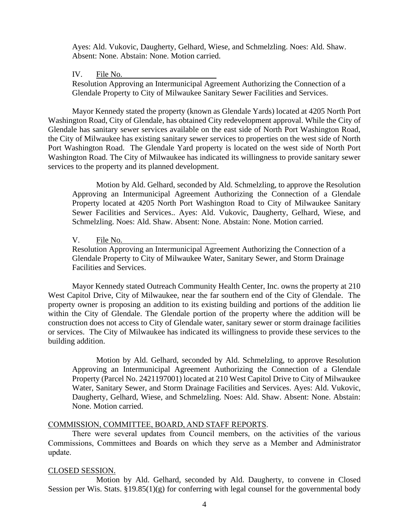Ayes: Ald. Vukovic, Daugherty, Gelhard, Wiese, and Schmelzling. Noes: Ald. Shaw. Absent: None. Abstain: None. Motion carried.

#### IV. File No.

Resolution Approving an Intermunicipal Agreement Authorizing the Connection of a Glendale Property to City of Milwaukee Sanitary Sewer Facilities and Services.

Mayor Kennedy stated the property (known as Glendale Yards) located at 4205 North Port Washington Road, City of Glendale, has obtained City redevelopment approval. While the City of Glendale has sanitary sewer services available on the east side of North Port Washington Road, the City of Milwaukee has existing sanitary sewer services to properties on the west side of North Port Washington Road. The Glendale Yard property is located on the west side of North Port Washington Road. The City of Milwaukee has indicated its willingness to provide sanitary sewer services to the property and its planned development.

Motion by Ald. Gelhard, seconded by Ald. Schmelzling, to approve the Resolution Approving an Intermunicipal Agreement Authorizing the Connection of a Glendale Property located at 4205 North Port Washington Road to City of Milwaukee Sanitary Sewer Facilities and Services.. Ayes: Ald. Vukovic, Daugherty, Gelhard, Wiese, and Schmelzling. Noes: Ald. Shaw. Absent: None. Abstain: None. Motion carried.

#### V. File No.

Resolution Approving an Intermunicipal Agreement Authorizing the Connection of a Glendale Property to City of Milwaukee Water, Sanitary Sewer, and Storm Drainage Facilities and Services.

Mayor Kennedy stated Outreach Community Health Center, Inc. owns the property at 210 West Capitol Drive, City of Milwaukee, near the far southern end of the City of Glendale. The property owner is proposing an addition to its existing building and portions of the addition lie within the City of Glendale. The Glendale portion of the property where the addition will be construction does not access to City of Glendale water, sanitary sewer or storm drainage facilities or services. The City of Milwaukee has indicated its willingness to provide these services to the building addition.

Motion by Ald. Gelhard, seconded by Ald. Schmelzling, to approve Resolution Approving an Intermunicipal Agreement Authorizing the Connection of a Glendale Property (Parcel No. 2421197001) located at 210 West Capitol Drive to City of Milwaukee Water, Sanitary Sewer, and Storm Drainage Facilities and Services. Ayes: Ald. Vukovic, Daugherty, Gelhard, Wiese, and Schmelzling. Noes: Ald. Shaw. Absent: None. Abstain: None. Motion carried.

#### COMMISSION, COMMITTEE, BOARD, AND STAFF REPORTS.

There were several updates from Council members, on the activities of the various Commissions, Committees and Boards on which they serve as a Member and Administrator update.

### CLOSED SESSION.

Motion by Ald. Gelhard, seconded by Ald. Daugherty, to convene in Closed Session per Wis. Stats.  $\S 19.85(1)(g)$  for conferring with legal counsel for the governmental body